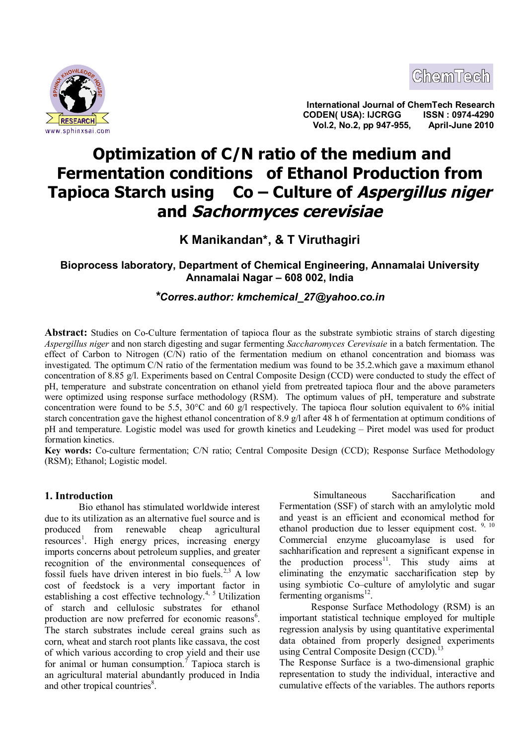



**International Journal of ChemTech Research CODEN( USA): IJCRGG ISSN : 0974-4290** <u>**ERSEARCH State of the CODENT CODENT COOLS AND MUSIC CODENT COOLS AND MUSIC COOLS AND MUSIC COOLS AND MUSIC COOLS AND MUSIC COOLS AND MUSIC COOLS AND MUSIC COOLS AND MUSIC COOLS AND MUSIC COOLS AND MUSIC COOLS AND MUSIC C</u>** 

# **Optimization of C/N ratio of the medium and Fermentation conditions of Ethanol Production from Tapioca Starch using Co – Culture of Aspergillus niger and Sachormyces cerevisiae**

**K Manikandan\*, & T Viruthagiri**

**Bioprocess laboratory, Department of Chemical Engineering, Annamalai University Annamalai Nagar – 608 002, India**

*\*Corres.author: kmchemical\_27@yahoo.co.in*

**Abstract:** Studies on Co-Culture fermentation of tapioca flour as the substrate symbiotic strains of starch digesting *Aspergillus niger* and non starch digesting and sugar fermenting *Saccharomyces Cerevisaie* in a batch fermentation. The effect of Carbon to Nitrogen (C/N) ratio of the fermentation medium on ethanol concentration and biomass was investigated. The optimum C/N ratio of the fermentation medium was found to be 35.2.which gave a maximum ethanol concentration of 8.85 g/l. Experiments based on Central Composite Design (CCD) were conducted to study the effect of pH, temperature and substrate concentration on ethanol yield from pretreated tapioca flour and the above parameters were optimized using response surface methodology (RSM). The optimum values of pH, temperature and substrate concentration were found to be 5.5, 30°C and 60 g/l respectively. The tapioca flour solution equivalent to 6% initial starch concentration gave the highest ethanol concentration of 8.9 g/l after 48 h of fermentation at optimum conditions of pH and temperature. Logistic model was used for growth kinetics and Leudeking – Piret model was used for product formation kinetics.

**Key words:** Co-culture fermentation; C/N ratio; Central Composite Design (CCD); Response Surface Methodology (RSM); Ethanol; Logistic model.

# **1. Introduction**

 Bio ethanol has stimulated worldwide interest due to its utilization as an alternative fuel source and is produced from renewable cheap agricultural resources<sup>1</sup>. High energy prices, increasing energy imports concerns about petroleum supplies, and greater recognition of the environmental consequences of fossil fuels have driven interest in bio fuels.<sup>2,3</sup> A low cost of feedstock is a very important factor in establishing a cost effective technology.<sup>4, 5</sup> Utilization of starch and cellulosic substrates for ethanol production are now preferred for economic reasons<sup>6</sup>. The starch substrates include cereal grains such as corn, wheat and starch root plants like cassava, the cost of which various according to crop yield and their use for animal or human consumption.<sup>7</sup> Tapioca starch is an agricultural material abundantly produced in India and other tropical countries<sup>8</sup>.

 Simultaneous Saccharification and Fermentation (SSF) of starch with an amylolytic mold and yeast is an efficient and economical method for ethanol production due to lesser equipment cost.  $9, 10$ Commercial enzyme glucoamylase is used for sachharification and represent a significant expense in the production process<sup>11</sup>. This study aims at eliminating the enzymatic saccharification step by using symbiotic Co–culture of amylolytic and sugar fermenting organisms<sup>12</sup>.

Response Surface Methodology (RSM) is an important statistical technique employed for multiple regression analysis by using quantitative experimental data obtained from properly designed experiments using Central Composite Design  $(CCD)$ .<sup>13</sup>

The Response Surface is a two-dimensional graphic representation to study the individual, interactive and cumulative effects of the variables. The authors reports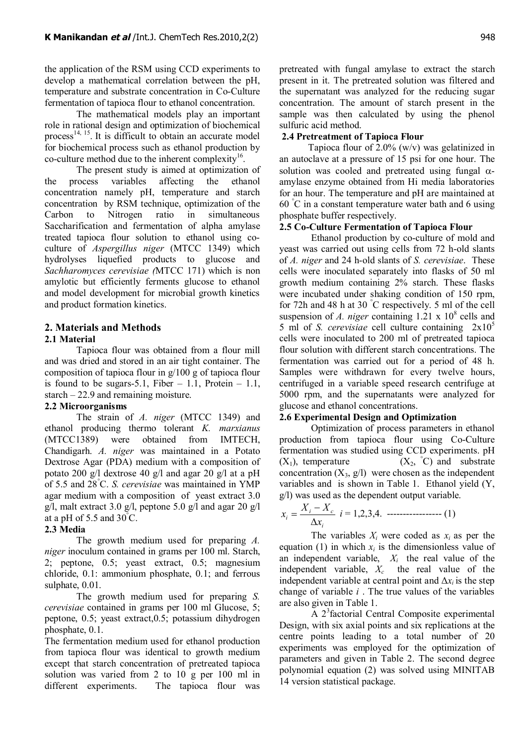the application of the RSM using CCD experiments to develop a mathematical correlation between the pH, temperature and substrate concentration in Co-Culture fermentation of tapioca flour to ethanol concentration.

The mathematical models play an important role in rational design and optimization of biochemical process<sup>14, 15</sup>. It is difficult to obtain an accurate model for biochemical process such as ethanol production by co-culture method due to the inherent complexity $16$ .

The present study is aimed at optimization of the process variables affecting the ethanol concentration namely pH, temperature and starch concentration by RSM technique, optimization of the Carbon to Nitrogen ratio in simultaneous Saccharification and fermentation of alpha amylase treated tapioca flour solution to ethanol using coculture of *Aspergillus niger* (MTCC 1349) which hydrolyses liquefied products to glucose and *Sachharomyces cerevisiae (*MTCC 171) which is non amylotic but efficiently ferments glucose to ethanol and model development for microbial growth kinetics and product formation kinetics.

# **2. Materials and Methods**

## **2.1 Material**

Tapioca flour was obtained from a flour mill and was dried and stored in an air tight container. The composition of tapioca flour in g/100 g of tapioca flour is found to be sugars-5.1, Fiber  $-1.1$ , Protein  $-1.1$ , starch – 22.9 and remaining moisture.

# **2.2 Microorganisms**

The strain of *A. niger* (MTCC 1349) and ethanol producing thermo tolerant *K. marxianus* (MTCC1389) were obtained from IMTECH, Chandigarh. *A. niger* was maintained in a Potato Dextrose Agar (PDA) medium with a composition of potato 200 g/l dextrose 40 g/l and agar 20 g/l at a pH of 5.5 and 28°C. *S. cerevisiae* was maintained in YMP agar medium with a composition of yeast extract 3.0 g/l, malt extract 3.0 g/l, peptone 5.0 g/l and agar 20 g/l at a pH of  $5.5$  and  $30^{\circ}$ C.

# **2.3 Media**

The growth medium used for preparing *A. niger* inoculum contained in grams per 100 ml. Starch, 2; peptone, 0.5; yeast extract, 0.5; magnesium chloride, 0.1: ammonium phosphate, 0.1; and ferrous sulphate, 0.01.

The growth medium used for preparing *S. cerevisiae* contained in grams per 100 ml Glucose, 5; peptone, 0.5; yeast extract,0.5; potassium dihydrogen phosphate, 0.1.

The fermentation medium used for ethanol production from tapioca flour was identical to growth medium except that starch concentration of pretreated tapioca solution was varied from 2 to 10 g per 100 ml in different experiments. The tapioca flour was

pretreated with fungal amylase to extract the starch present in it. The pretreated solution was filtered and the supernatant was analyzed for the reducing sugar concentration. The amount of starch present in the sample was then calculated by using the phenol sulfuric acid method.

## **2.4 Pretreatment of Tapioca Flour**

 Tapioca flour of 2.0% (w/v) was gelatinized in an autoclave at a pressure of 15 psi for one hour. The solution was cooled and pretreated using fungal  $\alpha$ amylase enzyme obtained from Hi media laboratories for an hour. The temperature and pH are maintained at 60 °C in a constant temperature water bath and 6 using phosphate buffer respectively.

## **2.5 Co-Culture Fermentation of Tapioca Flour**

Ethanol production by co-culture of mold and yeast was carried out using cells from 72 h-old slants of *A. niger* and 24 h-old slants of *S. cerevisiae*. These cells were inoculated separately into flasks of 50 ml growth medium containing 2% starch. These flasks were incubated under shaking condition of 150 rpm, for 72h and 48 h at 30 °C respectively. 5 ml of the cell suspension of *A. niger* containing  $1.21 \times 10^8$  cells and 5 ml of *S. cerevisiae* cell culture containing  $2x10^5$ cells were inoculated to 200 ml of pretreated tapioca flour solution with different starch concentrations. The fermentation was carried out for a period of 48 h. Samples were withdrawn for every twelve hours, centrifuged in a variable speed research centrifuge at 5000 rpm, and the supernatants were analyzed for glucose and ethanol concentrations.

## **2.6 Experimental Design and Optimization**

Optimization of process parameters in ethanol production from tapioca flour using Co-Culture fermentation was studied using CCD experiments. pH  $(X_1)$ , temperature  $(X_2, \degree C)$  and substrate concentration  $(X_3, g/1)$  were chosen as the independent variables and is shown in Table 1. Ethanol yield (Y, g/l) was used as the dependent output variable.

$$
x_i = \frac{X_i - X_c}{\Delta x_i} \quad i = 1, 2, 3, 4. \quad \dots \dots \dots \dots \dots \dots \dots \dots \tag{1}
$$

The variables  $X_i$  were coded as  $x_i$  as per the equation (1) in which  $x_i$  is the dimensionless value of an independent variable,  $X_i$  the real value of the independent variable, *X<sup>c</sup>* the real value of the independent variable at central point and  $\Delta x_i$  is the step change of variable *i* . The true values of the variables are also given in Table 1.

A 2<sup>3</sup> factorial Central Composite experimental Design, with six axial points and six replications at the centre points leading to a total number of 20 experiments was employed for the optimization of parameters and given in Table 2. The second degree polynomial equation (2) was solved using MINITAB 14 version statistical package.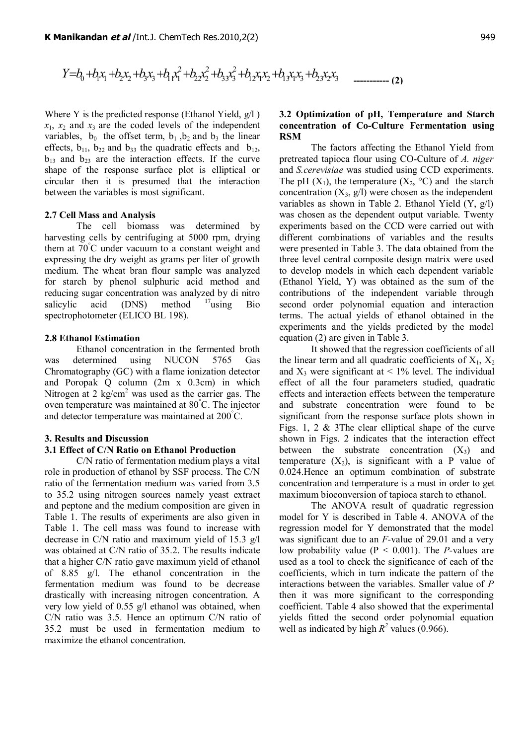$$
Y = b_0 + b_1 x_1 + b_2 x_2 + b_3 x_3 + b_1 x_1^2 + b_2 x_2^2 + b_3 x_3^2 + b_1 x_1 x_2 + b_1 x_1 x_3 + b_2 x_2 x_3
$$

Where Y is the predicted response (Ethanol Yield, g/l )  $x_1$ ,  $x_2$  and  $x_3$  are the coded levels of the independent variables,  $b_0$  the offset term,  $b_1$ ,  $b_2$  and  $b_3$  the linear effects,  $b_{11}$ ,  $b_{22}$  and  $b_{33}$  the quadratic effects and  $b_{12}$ ,  $b_{13}$  and  $b_{23}$  are the interaction effects. If the curve shape of the response surface plot is elliptical or circular then it is presumed that the interaction between the variables is most significant.

#### **2.7 Cell Mass and Analysis**

The cell biomass was determined by harvesting cells by centrifuging at 5000 rpm, drying them at 70°C under vacuum to a constant weight and expressing the dry weight as grams per liter of growth medium. The wheat bran flour sample was analyzed for starch by phenol sulphuric acid method and reducing sugar concentration was analyzed by di nitro salicylic acid (DNS) method  $17$ using Bio spectrophotometer (ELICO BL 198).

#### **2.8 Ethanol Estimation**

Ethanol concentration in the fermented broth was determined using NUCON 5765 Gas Chromatography (GC) with a flame ionization detector and Poropak Q column (2m x 0.3cm) in which Nitrogen at 2 kg/cm<sup>2</sup> was used as the carrier gas. The oven temperature was maintained at 80°C. The injector and detector temperature was maintained at 200°C.

#### **3. Results and Discussion**

## **3.1 Effect of C/N Ratio on Ethanol Production**

C/N ratio of fermentation medium plays a vital role in production of ethanol by SSF process. The C/N ratio of the fermentation medium was varied from 3.5 to 35.2 using nitrogen sources namely yeast extract and peptone and the medium composition are given in Table 1. The results of experiments are also given in Table 1. The cell mass was found to increase with decrease in C/N ratio and maximum yield of 15.3 g/l was obtained at C/N ratio of 35.2. The results indicate that a higher C/N ratio gave maximum yield of ethanol of 8.85 g/l. The ethanol concentration in the fermentation medium was found to be decrease drastically with increasing nitrogen concentration. A very low yield of 0.55 g/l ethanol was obtained, when C/N ratio was 3.5. Hence an optimum C/N ratio of 35.2 must be used in fermentation medium to maximize the ethanol concentration.

## **3.2 Optimization of pH, Temperature and Starch concentration of Co-Culture Fermentation using RSM**

The factors affecting the Ethanol Yield from pretreated tapioca flour using CO-Culture of *A. niger* and *S.cerevisiae* was studied using CCD experiments. The pH  $(X_1)$ , the temperature  $(X_2, {}^{\circ}C)$  and the starch concentration  $(X_3, g/1)$  were chosen as the independent variables as shown in Table 2. Ethanol Yield (Y, g/l) was chosen as the dependent output variable. Twenty experiments based on the CCD were carried out with different combinations of variables and the results were presented in Table 3. The data obtained from the three level central composite design matrix were used to develop models in which each dependent variable (Ethanol Yield, Y) was obtained as the sum of the contributions of the independent variable through second order polynomial equation and interaction terms. The actual yields of ethanol obtained in the experiments and the yields predicted by the model equation (2) are given in Table 3.

It showed that the regression coefficients of all the linear term and all quadratic coefficients of  $X_1, X_2$ and  $X_3$  were significant at  $\leq 1\%$  level. The individual effect of all the four parameters studied, quadratic effects and interaction effects between the temperature and substrate concentration were found to be significant from the response surface plots shown in Figs. 1, 2 & 3The clear elliptical shape of the curve shown in Figs. 2 indicates that the interaction effect between the substrate concentration  $(X_3)$  and temperature  $(X_2)$ , is significant with a P value of 0.024.Hence an optimum combination of substrate concentration and temperature is a must in order to get maximum bioconversion of tapioca starch to ethanol.

The ANOVA result of quadratic regression model for Y is described in Table 4. ANOVA of the regression model for Y demonstrated that the model was significant due to an *F*-value of 29.01 and a very low probability value (P < 0.001). The *P*-values are used as a tool to check the significance of each of the coefficients, which in turn indicate the pattern of the interactions between the variables. Smaller value of *P* then it was more significant to the corresponding coefficient. Table 4 also showed that the experimental yields fitted the second order polynomial equation well as indicated by high  $R^2$  values (0.966).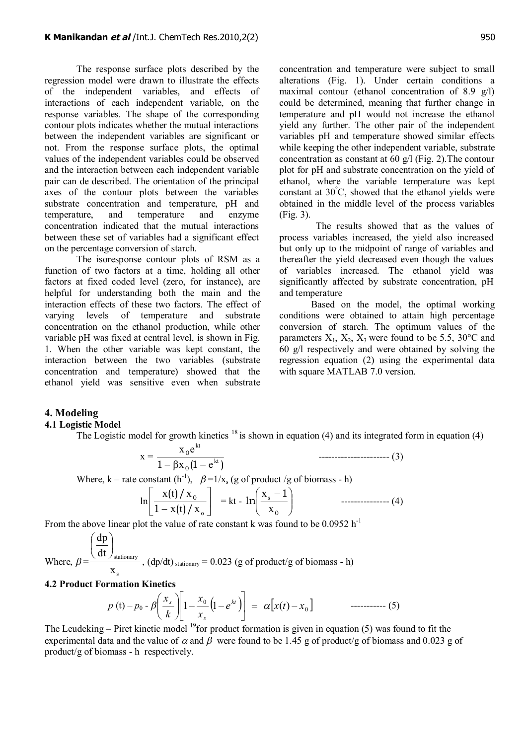The response surface plots described by the regression model were drawn to illustrate the effects of the independent variables, and effects of interactions of each independent variable, on the response variables. The shape of the corresponding contour plots indicates whether the mutual interactions between the independent variables are significant or not. From the response surface plots, the optimal values of the independent variables could be observed and the interaction between each independent variable pair can de described. The orientation of the principal axes of the contour plots between the variables substrate concentration and temperature, pH and temperature, and temperature and enzyme concentration indicated that the mutual interactions between these set of variables had a significant effect on the percentage conversion of starch.

The isoresponse contour plots of RSM as a function of two factors at a time, holding all other factors at fixed coded level (zero, for instance), are helpful for understanding both the main and the interaction effects of these two factors. The effect of varying levels of temperature and substrate concentration on the ethanol production, while other variable pH was fixed at central level, is shown in Fig. 1. When the other variable was kept constant, the interaction between the two variables (substrate concentration and temperature) showed that the ethanol yield was sensitive even when substrate

concentration and temperature were subject to small alterations (Fig. 1). Under certain conditions a maximal contour (ethanol concentration of 8.9 g/l) could be determined, meaning that further change in temperature and pH would not increase the ethanol yield any further. The other pair of the independent variables pH and temperature showed similar effects while keeping the other independent variable, substrate concentration as constant at 60  $\alpha$ /l (Fig. 2). The contour plot for pH and substrate concentration on the yield of ethanol, where the variable temperature was kept constant at  $30^{\circ}$ C, showed that the ethanol yields were obtained in the middle level of the process variables (Fig. 3).

 The results showed that as the values of process variables increased, the yield also increased but only up to the midpoint of range of variables and thereafter the yield decreased even though the values of variables increased. The ethanol yield was significantly affected by substrate concentration, pH and temperature

Based on the model, the optimal working conditions were obtained to attain high percentage conversion of starch. The optimum values of the parameters  $X_1$ ,  $X_2$ ,  $X_3$  were found to be 5.5, 30 °C and 60 g/l respectively and were obtained by solving the regression equation (2) using the experimental data with square MATLAB 7.0 version.

# **4. Modeling**

## **4.1 Logistic Model**

The Logistic model for growth kinetics  $18$  is shown in equation (4) and its integrated form in equation (4)

$$
x = \frac{x_0 e^{kt}}{1 - \beta x_0 (1 - e^{kt})}
$$
.................(3)  
Where, k – rate constant (h<sup>-1</sup>),  $\beta = 1/x_s$  (g of product /g of biomass - h)  

$$
\ln \left[ \frac{x(t)/x_0}{1 - x(t)/x_0} \right] = kt - \ln \left( \frac{x_s - 1}{x_0} \right)
$$
.................(4)

From the above linear plot the value of rate constant k was found to be  $0.0952$  h<sup>-1</sup>

Where, 
$$
\beta = \frac{\left(\frac{dp}{dt}\right)_{\text{stationary}}}{x_s}
$$
,  $(dp/dt)_{\text{stationary}} = 0.023$  (g of product/g of biomass - h)

## **4.2 Product Formation Kinetics**

$$
p(t) - p_0 - \beta \left( \frac{x_s}{k} \right) \left[ 1 - \frac{x_0}{x_s} \left( 1 - e^{kt} \right) \right] = \alpha \left[ x(t) - x_0 \right] \quad \text{............ (5)}
$$

The Leudeking – Piret kinetic model <sup>19</sup>for product formation is given in equation (5) was found to fit the experimental data and the value of  $\alpha$  and  $\beta$  were found to be 1.45 g of product/g of biomass and 0.023 g of product/g of biomass - h respectively.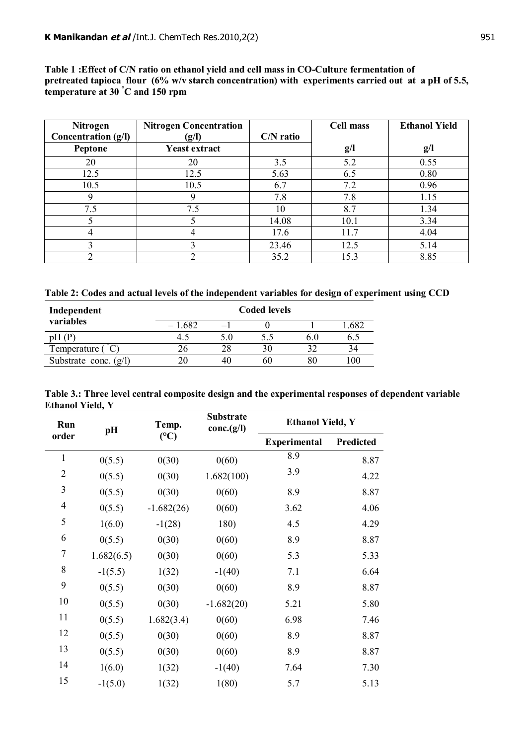**Table 1 :Effect of C/N ratio on ethanol yield and cell mass in CO-Culture fermentation of pretreated tapioca flour (6% w/v starch concentration) with experiments carried out at a pH of 5.5, temperature at 30 °C and 150 rpm**

| Nitrogen            | <b>Nitrogen Concentration</b> |             | <b>Cell mass</b> | <b>Ethanol Yield</b> |
|---------------------|-------------------------------|-------------|------------------|----------------------|
| Concentration (g/l) | (g/I)                         | $C/N$ ratio |                  |                      |
| Peptone             | <b>Yeast extract</b>          |             | g/l              | g/l                  |
| 20                  | 20                            | 3.5         | 5.2              | 0.55                 |
| 12.5                | 12.5                          | 5.63        | 6.5              | 0.80                 |
| 10.5                | 10.5                          | 6.7         | 7.2              | 0.96                 |
| 9                   | 9                             | 7.8         | 7.8              | 1.15                 |
| 7.5                 | 7.5                           | 10          | 8.7              | 1.34                 |
|                     |                               | 14.08       | 10.1             | 3.34                 |
| 4                   | 4                             | 17.6        | 11.7             | 4.04                 |
|                     | 3                             | 23.46       | 12.5             | 5.14                 |
|                     |                               | 35.2        | 15.3             | 8.85                 |

**Table 2: Codes and actual levels of the independent variables for design of experiment using CCD**

| Independent             |          | <b>Coded levels</b> |    |      |
|-------------------------|----------|---------------------|----|------|
| variables               | $-1.682$ |                     |    | .682 |
| pH (P                   |          | 5.5                 |    | 0.C  |
| Temperature (           |          | 30                  |    | 34   |
| Substrate conc. $(g/l)$ |          | 60                  | 80 | 00   |

| Table 3.: Three level central composite design and the experimental responses of dependent variable |  |
|-----------------------------------------------------------------------------------------------------|--|
| <b>Ethanol Yield, Y</b>                                                                             |  |

| Run              | pH         | Temp.        | <b>Substrate</b><br>conc.(g/I) | <b>Ethanol Yield, Y</b> |           |  |
|------------------|------------|--------------|--------------------------------|-------------------------|-----------|--|
| order            |            | (C)          |                                | <b>Experimental</b>     | Predicted |  |
| $\mathbf{1}$     | 0(5.5)     | 0(30)        | 0(60)                          | 8.9                     | 8.87      |  |
| $\overline{2}$   | 0(5.5)     | 0(30)        | 1.682(100)                     | 3.9                     | 4.22      |  |
| $\mathfrak{Z}$   | 0(5.5)     | 0(30)        | 0(60)                          | 8.9                     | 8.87      |  |
| $\overline{4}$   | 0(5.5)     | $-1.682(26)$ | 0(60)                          | 3.62                    | 4.06      |  |
| 5                | 1(6.0)     | $-1(28)$     | 180)                           | 4.5                     | 4.29      |  |
| 6                | 0(5.5)     | 0(30)        | 0(60)                          | 8.9                     | 8.87      |  |
| $\boldsymbol{7}$ | 1.682(6.5) | 0(30)        | 0(60)                          | 5.3                     | 5.33      |  |
| 8                | $-1(5.5)$  | 1(32)        | $-1(40)$                       | 7.1                     | 6.64      |  |
| 9                | 0(5.5)     | 0(30)        | 0(60)                          | 8.9                     | 8.87      |  |
| 10               | 0(5.5)     | 0(30)        | $-1.682(20)$                   | 5.21                    | 5.80      |  |
| 11               | 0(5.5)     | 1.682(3.4)   | 0(60)                          | 6.98                    | 7.46      |  |
| 12               | 0(5.5)     | 0(30)        | 0(60)                          | 8.9                     | 8.87      |  |
| 13               | 0(5.5)     | 0(30)        | 0(60)                          | 8.9                     | 8.87      |  |
| 14               | 1(6.0)     | 1(32)        | $-1(40)$                       | 7.64                    | 7.30      |  |
| 15               | $-1(5.0)$  | 1(32)        | 1(80)                          | 5.7                     | 5.13      |  |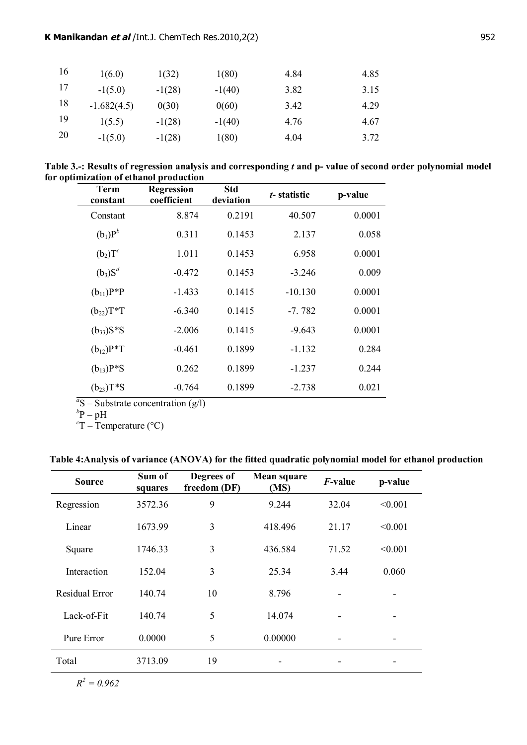| 16 | 1(6.0)        | 1(32)    | 1(80)    | 4.84 | 4.85 |
|----|---------------|----------|----------|------|------|
| 17 | $-1(5.0)$     | $-1(28)$ | $-1(40)$ | 3.82 | 3.15 |
| 18 | $-1.682(4.5)$ | 0(30)    | 0(60)    | 3.42 | 4.29 |
| 19 | 1(5.5)        | $-1(28)$ | $-1(40)$ | 4.76 | 4.67 |
| 20 | $-1(5.0)$     | $-1(28)$ | 1(80)    | 4.04 | 3.72 |

**Table 3.-: Results of regression analysis and corresponding** *t* **and p- value of second order polynomial model for optimization of ethanol production**

| Term<br>constant | <b>Regression</b><br>coefficient | Std<br>deviation | t-statistic | p-value |
|------------------|----------------------------------|------------------|-------------|---------|
| Constant         | 8.874                            | 0.2191           | 40.507      | 0.0001  |
| $(b_1)P^b$       | 0.311                            | 0.1453           | 2.137       | 0.058   |
| $(b_2)T^c$       | 1.011                            | 0.1453           | 6.958       | 0.0001  |
| $(b_3)S^d$       | $-0.472$                         | 0.1453           | $-3.246$    | 0.009   |
| $(b_{11})P^*P$   | $-1.433$                         | 0.1415           | $-10.130$   | 0.0001  |
| $(b_{22})T^*T$   | $-6.340$                         | 0.1415           | $-7.782$    | 0.0001  |
| $(b_{33})S*S$    | $-2.006$                         | 0.1415           | $-9.643$    | 0.0001  |
| $(b_{12})P^*T$   | $-0.461$                         | 0.1899           | $-1.132$    | 0.284   |
| $(b_{13})P*S$    | 0.262                            | 0.1899           | $-1.237$    | 0.244   |
| $(b_{23})T^*S$   | $-0.764$                         | 0.1899           | $-2.738$    | 0.021   |

 $a^2S$  – Substrate concentration (g/l)<br>  $b^bP - pH$ 

 $cT - T$ emperature (°C)

# **Table 4:Analysis of variance (ANOVA) for the fitted quadratic polynomial model for ethanol production**

| <b>Source</b>         | Sum of<br>squares | Degrees of<br>freedom (DF) | Mean square<br>(MS) | <i>F</i> -value | p-value |
|-----------------------|-------------------|----------------------------|---------------------|-----------------|---------|
| Regression            | 3572.36           | 9                          | 9.244               | 32.04           | < 0.001 |
| Linear                | 1673.99           | 3                          | 418.496             | 21.17           | < 0.001 |
| Square                | 1746.33           | 3                          | 436.584             | 71.52           | < 0.001 |
| Interaction           | 152.04            | 3                          | 25.34               | 3.44            | 0.060   |
| <b>Residual Error</b> | 140.74            | 10                         | 8.796               |                 |         |
| Lack-of-Fit           | 140.74            | 5                          | 14.074              |                 |         |
| Pure Error            | 0.0000            | 5                          | 0.00000             |                 | ۰       |
| Total                 | 3713.09           | 19                         |                     |                 |         |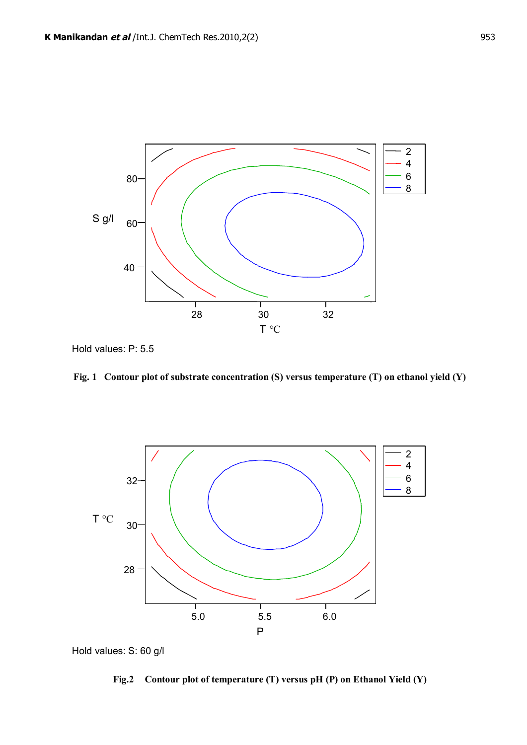

Hold values: P: 5.5





Hold values: S: 60 g/l

**Fig.2 Contour plot of temperature (T) versus pH (P) on Ethanol Yield (Y)**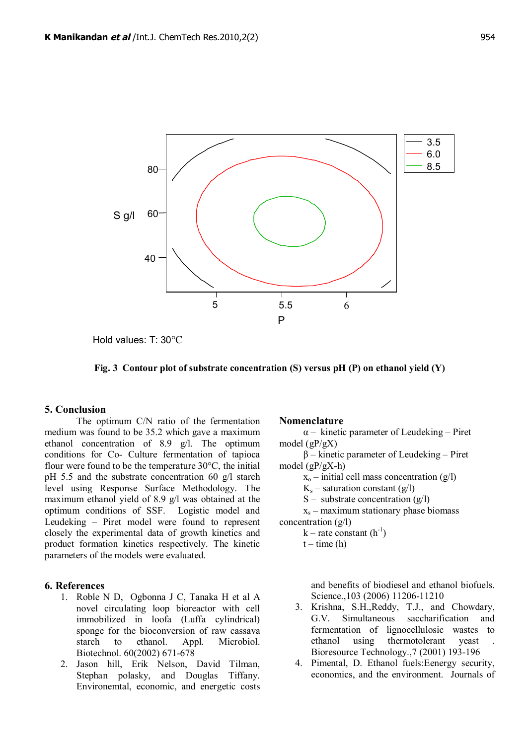

Hold values: T: 30°C



# **5. Conclusion**

The optimum C/N ratio of the fermentation medium was found to be 35.2 which gave a maximum ethanol concentration of 8.9 g/l. The optimum conditions for Co- Culture fermentation of tapioca flour were found to be the temperature 30°C, the initial pH 5.5 and the substrate concentration 60 g/l starch level using Response Surface Methodology. The maximum ethanol yield of 8.9 g/l was obtained at the optimum conditions of SSF. Logistic model and Leudeking – Piret model were found to represent closely the experimental data of growth kinetics and product formation kinetics respectively. The kinetic parameters of the models were evaluated.

# **6. References**

- 1. Roble N D, Ogbonna J C, Tanaka H et al A novel circulating loop bioreactor with cell immobilized in loofa (Luffa cylindrical) sponge for the bioconversion of raw cassava starch to ethanol. Appl. Microbiol. Biotechnol. 60(2002) 671-678
- 2. Jason hill, Erik Nelson, David Tilman, Stephan polasky, and Douglas Tiffany. Environemtal, economic, and energetic costs

## **Nomenclature**

 $\alpha$  – kinetic parameter of Leudeking – Piret model (gP/gX)

β – kinetic parameter of Leudeking – Piret model (gP/gX-h)

 $x_0$  – initial cell mass concentration (g/l)

 $K_s$  – saturation constant (g/l)

S – substrate concentration  $(g/I)$ 

xs – maximum stationary phase biomass concentration (g/l)

 $k$  – rate constant  $(h^{-1})$ 

 $t - time(h)$ 

and benefits of biodiesel and ethanol biofuels. Science.,103 (2006) 11206-11210

- 3. Krishna, S.H.,Reddy, T.J., and Chowdary, G.V. Simultaneous saccharification and fermentation of lignocellulosic wastes to ethanol using thermotolerant yeast . Bioresource Technology.,7 (2001) 193-196
- 4. Pimental, D. Ethanol fuels:Eenergy security, economics, and the environment. Journals of